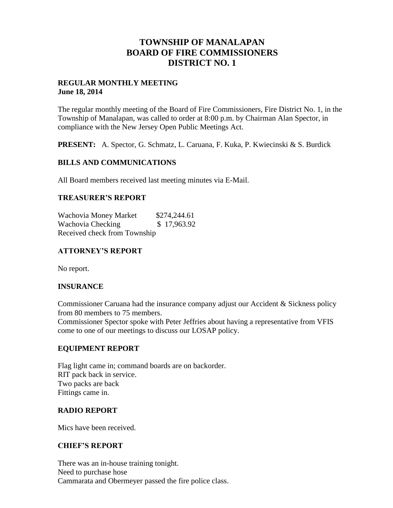## **TOWNSHIP OF MANALAPAN BOARD OF FIRE COMMISSIONERS DISTRICT NO. 1**

#### **REGULAR MONTHLY MEETING June 18, 2014**

The regular monthly meeting of the Board of Fire Commissioners, Fire District No. 1, in the Township of Manalapan, was called to order at 8:00 p.m. by Chairman Alan Spector, in compliance with the New Jersey Open Public Meetings Act.

**PRESENT:** A. Spector, G. Schmatz, L. Caruana, F. Kuka, P. Kwiecinski & S. Burdick

### **BILLS AND COMMUNICATIONS**

All Board members received last meeting minutes via E-Mail.

### **TREASURER'S REPORT**

Wachovia Money Market \$274,244.61 Wachovia Checking  $$17,963.92$ Received check from Township

## **ATTORNEY'S REPORT**

No report.

## **INSURANCE**

Commissioner Caruana had the insurance company adjust our Accident & Sickness policy from 80 members to 75 members.

Commissioner Spector spoke with Peter Jeffries about having a representative from VFIS come to one of our meetings to discuss our LOSAP policy.

## **EQUIPMENT REPORT**

Flag light came in; command boards are on backorder. RIT pack back in service. Two packs are back Fittings came in.

#### **RADIO REPORT**

Mics have been received.

#### **CHIEF'S REPORT**

There was an in-house training tonight. Need to purchase hose Cammarata and Obermeyer passed the fire police class.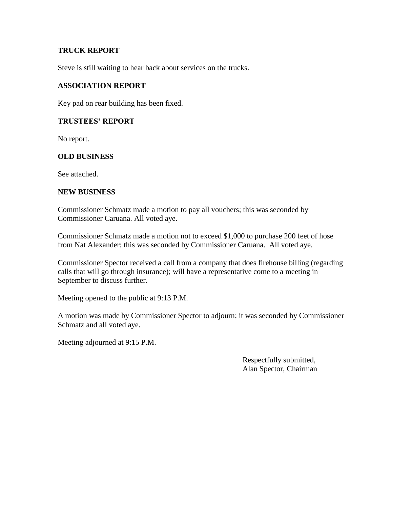### **TRUCK REPORT**

Steve is still waiting to hear back about services on the trucks.

### **ASSOCIATION REPORT**

Key pad on rear building has been fixed.

### **TRUSTEES' REPORT**

No report.

#### **OLD BUSINESS**

See attached.

#### **NEW BUSINESS**

Commissioner Schmatz made a motion to pay all vouchers; this was seconded by Commissioner Caruana. All voted aye.

Commissioner Schmatz made a motion not to exceed \$1,000 to purchase 200 feet of hose from Nat Alexander; this was seconded by Commissioner Caruana. All voted aye.

Commissioner Spector received a call from a company that does firehouse billing (regarding calls that will go through insurance); will have a representative come to a meeting in September to discuss further.

Meeting opened to the public at 9:13 P.M.

A motion was made by Commissioner Spector to adjourn; it was seconded by Commissioner Schmatz and all voted aye.

Meeting adjourned at 9:15 P.M.

 Respectfully submitted, Alan Spector, Chairman